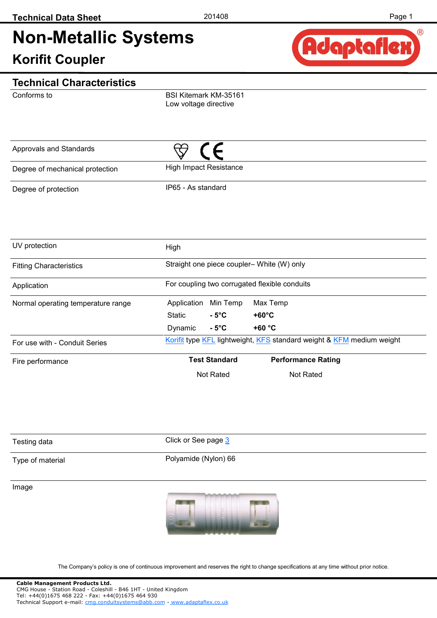# **Non-Metallic Systems**

### **Korifit Coupler**



#### **Technical Characteristics**

Conforms to

BSI Kitemark KM-35161 Low voltage directive

| Approvals and Standards         |                        |  |
|---------------------------------|------------------------|--|
| Degree of mechanical protection | High Impact Resistance |  |
| Degree of protection            | IP65 - As standard     |  |

| UV protection                      | High                                      |                      |                                                                       |  |  |  |  |
|------------------------------------|-------------------------------------------|----------------------|-----------------------------------------------------------------------|--|--|--|--|
| <b>Fitting Characteristics</b>     | Straight one piece coupler-White (W) only |                      |                                                                       |  |  |  |  |
| Application                        |                                           |                      | For coupling two corrugated flexible conduits                         |  |  |  |  |
| Normal operating temperature range | Application                               | Min Temp             | Max Temp                                                              |  |  |  |  |
|                                    | Static                                    | $-5^{\circ}$ C       | $+60^{\circ}$ C                                                       |  |  |  |  |
|                                    | Dynamic                                   | $-5^{\circ}$ C       | $+60 °C$                                                              |  |  |  |  |
| For use with - Conduit Series      |                                           |                      | Korifit type KFL lightweight, KFS standard weight & KFM medium weight |  |  |  |  |
| Fire performance                   |                                           | <b>Test Standard</b> | <b>Performance Rating</b>                                             |  |  |  |  |
|                                    |                                           | Not Rated            | Not Rated                                                             |  |  |  |  |

| Testing data     | Click or See page 3  |
|------------------|----------------------|
| Type of material | Polyamide (Nylon) 66 |

Image



The Company's policy is one of continuous improvement and reserves the right to change specifications at any time without prior notice.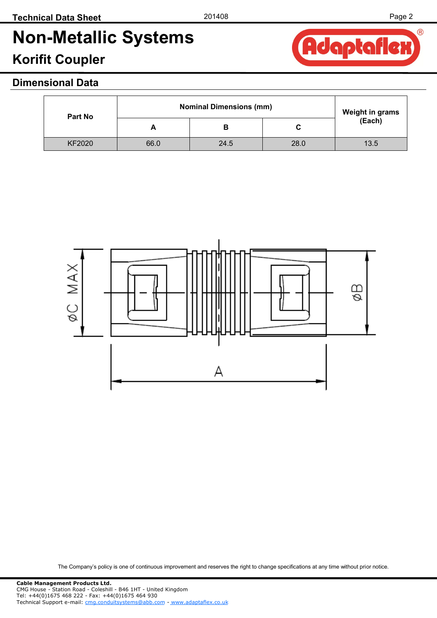Adaptaflex

 $\circledR$ 

# **Non-Metallic Systems**

## **Korifit Coupler**

### **Dimensional Data**

| Part No       | <b>Nominal Dimensions (mm)</b> | <b>Weight in grams</b> |      |            |
|---------------|--------------------------------|------------------------|------|------------|
|               |                                |                        | C    | $E$ (Each) |
| <b>KF2020</b> | 66.0                           | 24.5                   | 28.0 | 13.5       |



The Company's policy is one of continuous improvement and reserves the right to change specifications at any time without prior notice.